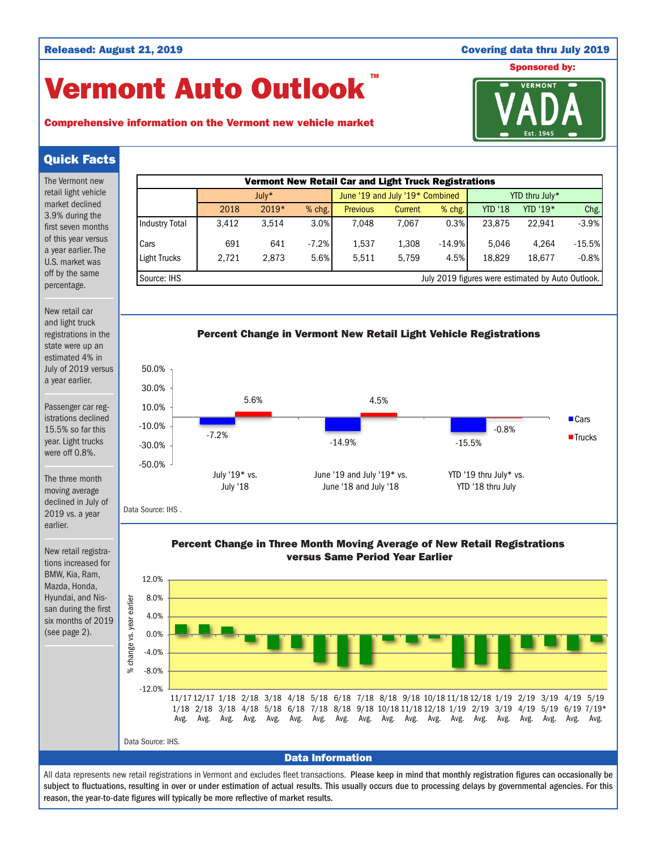## Released: August 21, 2019 Covering data thru July 2019

# Vermont Auto Outlook TM





## Quick Facts

| The Vermont new                                                                                   | <b>Vermont New Retail Car and Light Truck Registrations</b>                                                 |                       |               |       |         |      |                            |                       |                                 |      |                        |      |                   |          |          |                                                                                                     |                |              |              |                        |          |
|---------------------------------------------------------------------------------------------------|-------------------------------------------------------------------------------------------------------------|-----------------------|---------------|-------|---------|------|----------------------------|-----------------------|---------------------------------|------|------------------------|------|-------------------|----------|----------|-----------------------------------------------------------------------------------------------------|----------------|--------------|--------------|------------------------|----------|
| retail light vehicle                                                                              |                                                                                                             |                       |               | July* |         |      |                            |                       | June '19 and July '19* Combined |      |                        |      | YTD thru July*    |          |          |                                                                                                     |                |              |              |                        |          |
| market declined<br>3.9% during the                                                                |                                                                                                             |                       |               |       | 2018    |      | 2019*                      |                       | % chg.                          |      | <b>Previous</b>        |      | Current           |          | % chg.   |                                                                                                     | <b>YTD '18</b> |              | YTD '19*     |                        | Chg.     |
| first seven months                                                                                |                                                                                                             | <b>Industry Total</b> |               |       | 3,412   |      | 3,514                      |                       | 3.0%                            |      | 7,048                  |      | 7,067             |          | 0.3%     |                                                                                                     | 23,875         |              | 22,941       |                        | $-3.9%$  |
| of this year versus<br>a year earlier. The                                                        |                                                                                                             | Cars                  |               |       | 691     |      | 641                        |                       | $-7.2%$                         |      | 1,537                  |      | 1,308             |          | $-14.9%$ |                                                                                                     | 5,046          |              | 4,264        |                        | $-15.5%$ |
| U.S. market was                                                                                   |                                                                                                             | <b>Light Trucks</b>   |               |       | 2,721   |      | 2,873                      |                       | 5.6%                            |      | 5,511                  |      | 5,759             |          | 4.5%     |                                                                                                     | 18,829         |              | 18,677       |                        | $-0.8%$  |
| off by the same<br>percentage.                                                                    |                                                                                                             | Source: IHS           |               |       |         |      |                            |                       |                                 |      |                        |      |                   |          |          | July 2019 figures were estimated by Auto Outlook.                                                   |                |              |              |                        |          |
| New retail car                                                                                    |                                                                                                             |                       |               |       |         |      |                            |                       |                                 |      |                        |      |                   |          |          |                                                                                                     |                |              |              |                        |          |
| and light truck<br>registrations in the<br>state were up an                                       | Percent Change in Vermont New Retail Light Vehicle Registrations                                            |                       |               |       |         |      |                            |                       |                                 |      |                        |      |                   |          |          |                                                                                                     |                |              |              |                        |          |
| estimated 4% in<br>July of 2019 versus                                                            |                                                                                                             | 50.0%                 |               |       |         |      |                            |                       |                                 |      |                        |      |                   |          |          |                                                                                                     |                |              |              |                        |          |
| a year earlier.                                                                                   |                                                                                                             | 30.0%                 |               |       |         |      |                            |                       |                                 |      |                        |      |                   |          |          |                                                                                                     |                |              |              |                        |          |
| Passenger car reg-                                                                                |                                                                                                             | 10.0%                 |               |       |         | 5.6% |                            |                       |                                 |      |                        | 4.5% |                   |          |          |                                                                                                     |                |              |              |                        |          |
| istrations declined<br>15.5% so far this                                                          |                                                                                                             | $-10.0%$              |               |       |         |      |                            |                       |                                 |      |                        |      |                   |          |          |                                                                                                     | $-0.8%$        |              |              | $\blacksquare$ Cars    |          |
| year. Light trucks                                                                                | $-30.0%$                                                                                                    |                       |               |       | $-7.2%$ |      |                            |                       | $-14.9%$                        |      |                        |      |                   | $-15.5%$ |          |                                                                                                     |                |              | ■Trucks      |                        |          |
| were off 0.8%.                                                                                    |                                                                                                             | $-50.0%$              |               |       |         |      |                            |                       |                                 |      |                        |      |                   |          |          |                                                                                                     |                |              |              |                        |          |
| The three month                                                                                   |                                                                                                             |                       | July '19* vs. |       |         |      | June '19 and July '19* vs. |                       |                                 |      | YTD '19 thru July* vs. |      |                   |          |          |                                                                                                     |                |              |              |                        |          |
| moving average                                                                                    | July '18                                                                                                    |                       |               |       |         |      |                            | June '18 and July '18 |                                 |      |                        |      | YTD '18 thru July |          |          |                                                                                                     |                |              |              |                        |          |
| declined in July of<br>2019 vs. a year<br>earlier.                                                |                                                                                                             | Data Source: IHS.     |               |       |         |      |                            |                       |                                 |      |                        |      |                   |          |          |                                                                                                     |                |              |              |                        |          |
| New retail registra-<br>tions increased for                                                       | Percent Change in Three Month Moving Average of New Retail Registrations<br>versus Same Period Year Earlier |                       |               |       |         |      |                            |                       |                                 |      |                        |      |                   |          |          |                                                                                                     |                |              |              |                        |          |
| BMW, Kia, Ram,                                                                                    |                                                                                                             | 12.0%                 |               |       |         |      |                            |                       |                                 |      |                        |      |                   |          |          |                                                                                                     |                |              |              |                        |          |
| Mazda, Honda,<br>Hyundai, and Nis-<br>san during the first<br>six months of 2019<br>(see page 2). |                                                                                                             | 8.0%                  |               |       |         |      |                            |                       |                                 |      |                        |      |                   |          |          |                                                                                                     |                |              |              |                        |          |
|                                                                                                   |                                                                                                             | 4.0%                  |               |       |         |      |                            |                       |                                 |      |                        |      |                   |          |          |                                                                                                     |                |              |              |                        |          |
|                                                                                                   | change vs. year earlier                                                                                     | 0.0%                  |               |       |         |      |                            |                       |                                 |      |                        |      |                   |          |          |                                                                                                     |                |              |              |                        |          |
|                                                                                                   |                                                                                                             | $-4.0%$               |               |       |         |      |                            |                       |                                 |      |                        |      |                   |          |          |                                                                                                     |                |              |              |                        |          |
|                                                                                                   |                                                                                                             |                       |               |       |         |      |                            |                       |                                 |      |                        |      |                   |          |          |                                                                                                     |                |              |              |                        |          |
|                                                                                                   | ۹Ś                                                                                                          | $-8.0%$               |               |       |         |      |                            |                       |                                 |      |                        |      |                   |          |          |                                                                                                     |                |              |              |                        |          |
|                                                                                                   |                                                                                                             | $-12.0%$              |               |       |         |      |                            |                       |                                 |      |                        |      |                   |          |          | 11/17 12/17 1/18 2/18 3/18 4/18 5/18 6/18 7/18 8/18 9/18 10/18 11/18 12/18 1/19 2/19 3/19 4/19 5/19 |                |              |              |                        |          |
|                                                                                                   |                                                                                                             |                       | Avg.          | Avg.  | Avg.    | Avg. | Avg.                       | Avg.                  | Avg.                            | Avg. | Avg.                   | Avg. | Avg.              | Avg.     | Avg.     | 1/18 2/18 3/18 4/18 5/18 6/18 7/18 8/18 9/18 10/18 11/18 12/18 1/19 2/19 3/19<br>Avg.               | Avg.           | 4/19<br>Avg. | 5/19<br>Avg. | $6/19$ $7/19*$<br>Avg. | Avg.     |

Data Source: IHS.

Data Information

All data represents new retail registrations in Vermont and excludes fleet transactions. Please keep in mind that monthly registration figures can occasionally be subject to fluctuations, resulting in over or under estimation of actual results. This usually occurs due to processing delays by governmental agencies. For this reason, the year-to-date figures will typically be more reflective of market results.